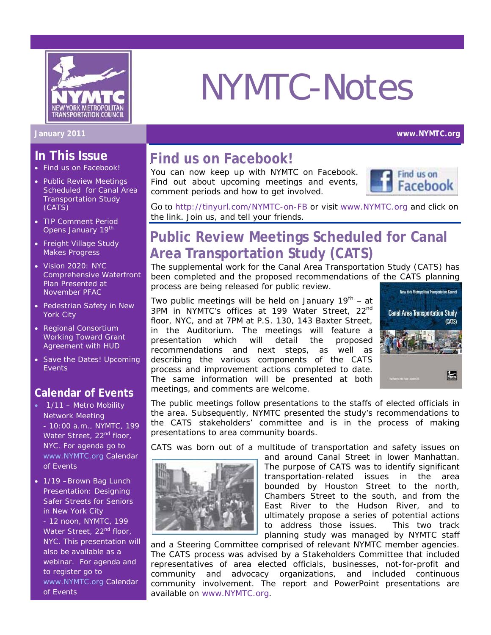

# NYMTC-Notes

#### **January 2011 www.NYMTC.org**

## **In This Issue**

- Find us on Facebook!
- Public Review Meetings Scheduled for Canal Area Transportation Study (CATS)
- TIP Comment Period Opens January 19<sup>th</sup>
- Freight Village Study Makes Progress
- Vision 2020: NYC Comprehensive Waterfront Plan Presented at November PFAC
- Pedestrian Safety in New York City
- Regional Consortium Working Toward Grant Agreement with HUD
- Save the Dates! Upcoming **Events**

#### **Calendar of Events**

- 1/11 Metro Mobility Network Meeting - 10:00 a.m., NYMTC, 199 Water Street, 22<sup>nd</sup> floor, NYC. For agenda go to www.NYMTC.org Calendar of Events
- 1/19 Brown Bag Lunch Presentation: Designing Safer Streets for Seniors in New York City - 12 noon, NYMTC, 199 Water Street, 22<sup>nd</sup> floor, NYC. This presentation will also be available as a webinar. For agenda and to register go to www.NYMTC.org Calendar of Events

## **Find us on Facebook!**

You can now keep up with NYMTC on Facebook. Find out about upcoming meetings and events, comment periods and how to get involved.



Go to http://tinyurl.com/NYMTC-on-FB or visit www.NYMTC.org and click on the link. Join us, and tell your friends.

## **Public Review Meetings Scheduled for Canal Area Transportation Study (CATS)**

The supplemental work for the Canal Area Transportation Study (CATS) has been completed and the proposed recommendations of the CATS planning process are being released for public review.

Two public meetings will be held on January  $19<sup>th</sup> - at$ 3PM in NYMTC's offices at 199 Water Street, 22<sup>nd</sup> floor, NYC, and at 7PM at P.S. 130, 143 Baxter Street, in the Auditorium. The meetings will feature a presentation which will detail the proposed recommendations and next steps, as well as describing the various components of the CATS process and improvement actions completed to date. The same information will be presented at both meetings, and comments are welcome.



The public meetings follow presentations to the staffs of elected officials in the area. Subsequently, NYMTC presented the study's recommendations to the CATS stakeholders' committee and is in the process of making presentations to area community boards.

CATS was born out of a multitude of transportation and safety issues on



and around Canal Street in lower Manhattan. The purpose of CATS was to identify significant transportation-related issues in the area bounded by Houston Street to the north, Chambers Street to the south, and from the East River to the Hudson River, and to ultimately propose a series of potential actions to address those issues. This two track planning study was managed by NYMTC staff

and a Steering Committee comprised of relevant NYMTC member agencies. The CATS process was advised by a Stakeholders Committee that included representatives of area elected officials, businesses, not-for-profit and community and advocacy organizations, and included continuous community involvement. The report and PowerPoint presentations are available on www.NYMTC.org.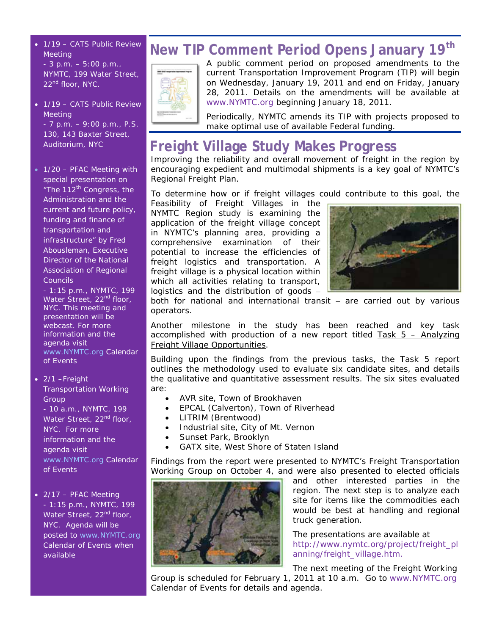- 1/19 CATS Public Review Meeting - 3 p.m. – 5:00 p.m., NYMTC, 199 Water Street, 22<sup>nd</sup> floor, NYC.
- 1/19 CATS Public Review Meeting - 7 p.m. – 9:00 p.m., P.S. 130, 143 Baxter Street,

Auditorium, NYC

• 1/20 – PFAC Meeting with special presentation on "The 112<sup>th</sup> Congress, the Administration and the current and future policy, funding and finance of transportation and infrastructure" by Fred Abousleman, Executive Director of the National Association of Regional

Councils - 1:15 p.m., NYMTC, 199 Water Street, 22<sup>nd</sup> floor, NYC. This meeting and presentation will be webcast. For more information and the agenda visit www.NYMTC.org Calendar of Events

• 2/1 –Freight Transportation Working **Group** - 10 a.m., NYMTC, 199 Water Street, 22<sup>nd</sup> floor, NYC. For more information and the agenda visit

www.NYMTC.org Calendar of Events

• 2/17 - PFAC Meeting - 1:15 p.m., NYMTC, 199 Water Street, 22<sup>nd</sup> floor, NYC. Agenda will be posted to www.NYMTC.org Calendar of Events when available

## **New TIP Comment Period Opens January 19th**



A public comment period on proposed amendments to the current Transportation Improvement Program (TIP) will begin on Wednesday, January 19, 2011 and end on Friday, January 28, 2011. Details on the amendments will be available at www.NYMTC.org beginning January 18, 2011.

Periodically, NYMTC amends its TIP with projects proposed to make optimal use of available Federal funding.

## **Freight Village Study Makes Progress**

Improving the reliability and overall movement of freight in the region by encouraging expedient and multimodal shipments is a key goal of NYMTC's Regional Freight Plan.

To determine how or if freight villages could contribute to this goal, the

*Feasibility of Freight Villages in the NYMTC Region* study is examining the application of the freight village concept in NYMTC's planning area, providing a comprehensive examination of their potential to increase the efficiencies of freight logistics and transportation. A freight village is a physical location within which all activities relating to transport, logistics and the distribution of goods –



both for national and international transit – are carried out by various operators.

Another milestone in the study has been reached and key task accomplished with production of a new report titled  $Task 5 - Analyzing$ Freight Village Opportunities.

Building upon the findings from the previous tasks, the Task 5 report outlines the methodology used to evaluate six candidate sites, and details the qualitative and quantitative assessment results. The six sites evaluated are:

- AVR site, Town of Brookhaven
- EPCAL (Calverton), Town of Riverhead
- LITRIM (Brentwood)
- Industrial site, City of Mt. Vernon
- Sunset Park, Brooklyn
- GATX site, West Shore of Staten Island

Findings from the report were presented to NYMTC's Freight Transportation Working Group on October 4, and were also presented to elected officials



and other interested parties in the region. The next step is to analyze each site for items like the commodities each would be best at handling and regional truck generation.

The presentations are available at http://www.nymtc.org/project/freight\_pl anning/freight\_village.htm.

The next meeting of the Freight Working Group is scheduled for February 1, 2011 at 10 a.m. Go to www.NYMTC.org Calendar of Events for details and agenda.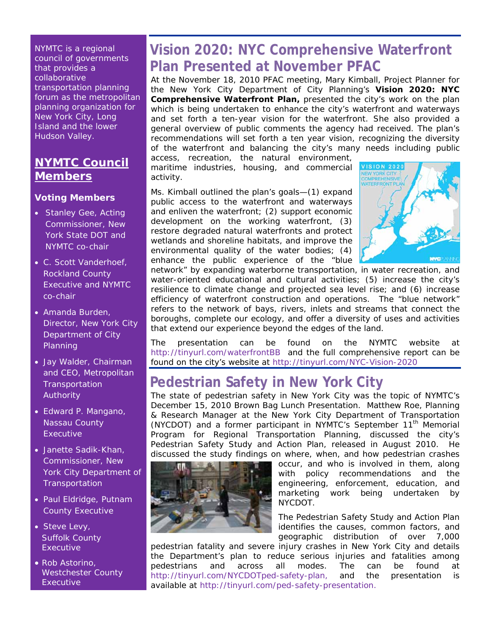NYMTC is a regional council of governments that provides a collaborative transportation planning forum as the metropolitan planning organization for New York City, Long Island and the lower Hudson Valley.

### **NYMTC Council Members**

#### **Voting Members**

- Stanley Gee, Acting Commissioner, New York State DOT and NYMTC co-chair
- C. Scott Vanderhoef, Rockland County Executive and NYMTC co-chair
- Amanda Burden, Director, New York City Department of City Planning
- Jay Walder, Chairman and CEO, Metropolitan **Transportation** Authority
- Edward P. Mangano, Nassau County Executive
- Janette Sadik-Khan, Commissioner, New York City Department of **Transportation**
- Paul Eldridge, Putnam County Executive
- Steve Levy, Suffolk County Executive
- Rob Astorino, Westchester County **Executive**

## **Vision 2020: NYC Comprehensive Waterfront Plan Presented at November PFAC**

At the November 18, 2010 PFAC meeting, Mary Kimball, Project Planner for the New York City Department of City Planning's **Vision 2020: NYC Comprehensive Waterfront Plan,** presented the city's work on the plan which is being undertaken to enhance the city's waterfront and waterways and set forth a ten-year vision for the waterfront. She also provided a general overview of public comments the agency had received. The plan's recommendations will set forth a ten year vision, recognizing the diversity of the waterfront and balancing the city's many needs including public

access, recreation, the natural environment, maritime industries, housing, and commercial activity.

Ms. Kimball outlined the plan's goals—(1) expand public access to the waterfront and waterways and enliven the waterfront; (2) support economic development on the working waterfront, (3) restore degraded natural waterfronts and protect wetlands and shoreline habitats, and improve the environmental quality of the water bodies; (4) enhance the public experience of the "blue



network" by expanding waterborne transportation, in water recreation, and water-oriented educational and cultural activities; (5) increase the city's resilience to climate change and projected sea level rise; and (6) increase efficiency of waterfront construction and operations. The "blue network" refers to the network of bays, rivers, inlets and streams that connect the boroughs, complete our ecology, and offer a diversity of uses and activities that extend our experience beyond the edges of the land.

The presentation can be found on the NYMTC website at http://tinyurl.com/waterfrontBB and the full comprehensive report can be found on the city's website at http://tinyurl.com/NYC-Vision-2020

## **Pedestrian Safety in New York City**

The state of pedestrian safety in New York City was the topic of NYMTC's December 15, 2010 Brown Bag Lunch Presentation. Matthew Roe, Planning & Research Manager at the New York City Department of Transportation (NYCDOT) and a former participant in NYMTC's September 11<sup>th</sup> Memorial Program for Regional Transportation Planning, discussed the city's Pedestrian Safety Study and Action Plan, released in August 2010. He discussed the study findings on where, when, and how pedestrian crashes



occur, and who is involved in them, along with policy recommendations and the engineering, enforcement, education, and marketing work being undertaken by NYCDOT.

The Pedestrian Safety Study and Action Plan identifies the causes, common factors, and geographic distribution of over 7,000

pedestrian fatality and severe injury crashes in New York City and details the Department's plan to reduce serious injuries and fatalities among pedestrians and across all modes. The can be found at http://tinyurl.com/NYCDOTped-safety-plan, and the presentation is available at http://tinyurl.com/ped-safety-presentation.